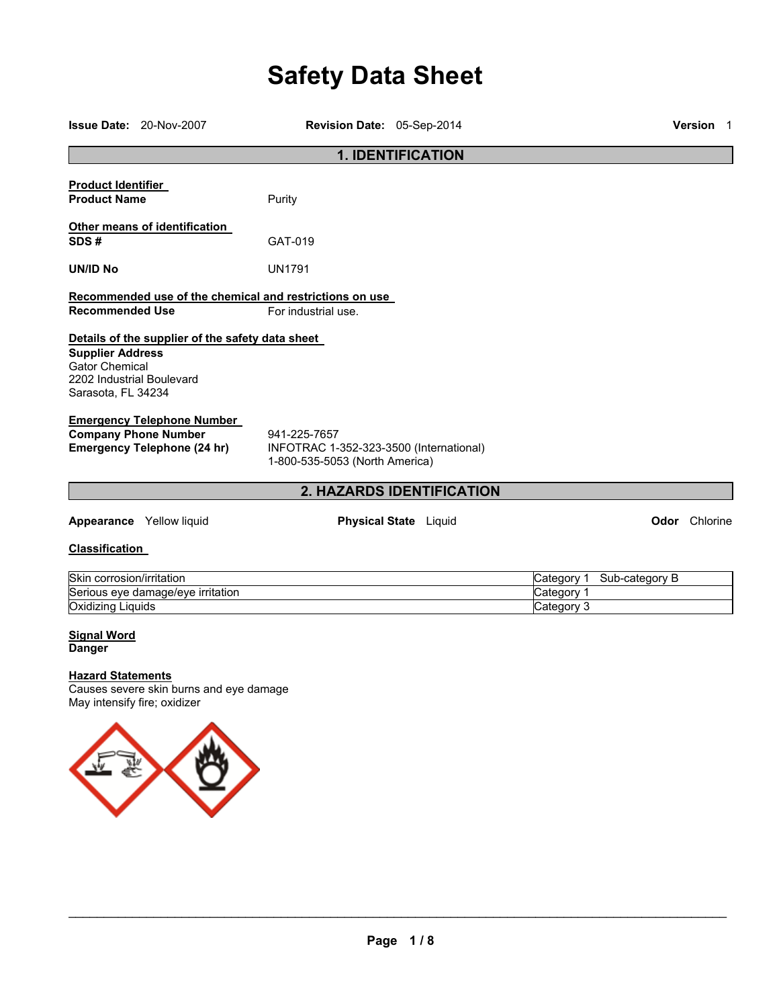# **Safety Data Sheet**

|                                                                                                     | <b>Issue Date: 20-Nov-2007</b>                                                                         | <b>Revision Date: 05-Sep-2014</b>                                                         |  |                                        |                | <b>Version 1</b>     |
|-----------------------------------------------------------------------------------------------------|--------------------------------------------------------------------------------------------------------|-------------------------------------------------------------------------------------------|--|----------------------------------------|----------------|----------------------|
|                                                                                                     |                                                                                                        | <b>1. IDENTIFICATION</b>                                                                  |  |                                        |                |                      |
| <b>Product Identifier</b><br><b>Product Name</b>                                                    |                                                                                                        | Purity                                                                                    |  |                                        |                |                      |
| SDS#                                                                                                | Other means of identification                                                                          | GAT-019                                                                                   |  |                                        |                |                      |
| <b>UN/ID No</b>                                                                                     |                                                                                                        | <b>UN1791</b>                                                                             |  |                                        |                |                      |
| <b>Recommended Use</b>                                                                              |                                                                                                        | Recommended use of the chemical and restrictions on use<br>For industrial use.            |  |                                        |                |                      |
| <b>Supplier Address</b><br><b>Gator Chemical</b><br>2202 Industrial Boulevard<br>Sarasota, FL 34234 | Details of the supplier of the safety data sheet                                                       |                                                                                           |  |                                        |                |                      |
|                                                                                                     | <b>Emergency Telephone Number</b><br><b>Company Phone Number</b><br><b>Emergency Telephone (24 hr)</b> | 941-225-7657<br>INFOTRAC 1-352-323-3500 (International)<br>1-800-535-5053 (North America) |  |                                        |                |                      |
|                                                                                                     |                                                                                                        | 2. HAZARDS IDENTIFICATION                                                                 |  |                                        |                |                      |
|                                                                                                     | Appearance Yellow liquid                                                                               | <b>Physical State</b> Liquid                                                              |  |                                        |                | <b>Odor</b> Chlorine |
| <b>Classification</b>                                                                               |                                                                                                        |                                                                                           |  |                                        |                |                      |
| Skin corrosion/irritation<br>Oxidizing Liquids                                                      | Serious eye damage/eye irritation                                                                      |                                                                                           |  | Category 1<br>Category 1<br>Category 3 | Sub-category B |                      |
| <b>Signal Word</b><br><b>Danger</b>                                                                 |                                                                                                        |                                                                                           |  |                                        |                |                      |
| <b>Hazard Statements</b><br>May intensify fire; oxidizer                                            | Causes severe skin burns and eye damage                                                                |                                                                                           |  |                                        |                |                      |

 $\sqrt{\nu}$ 

豪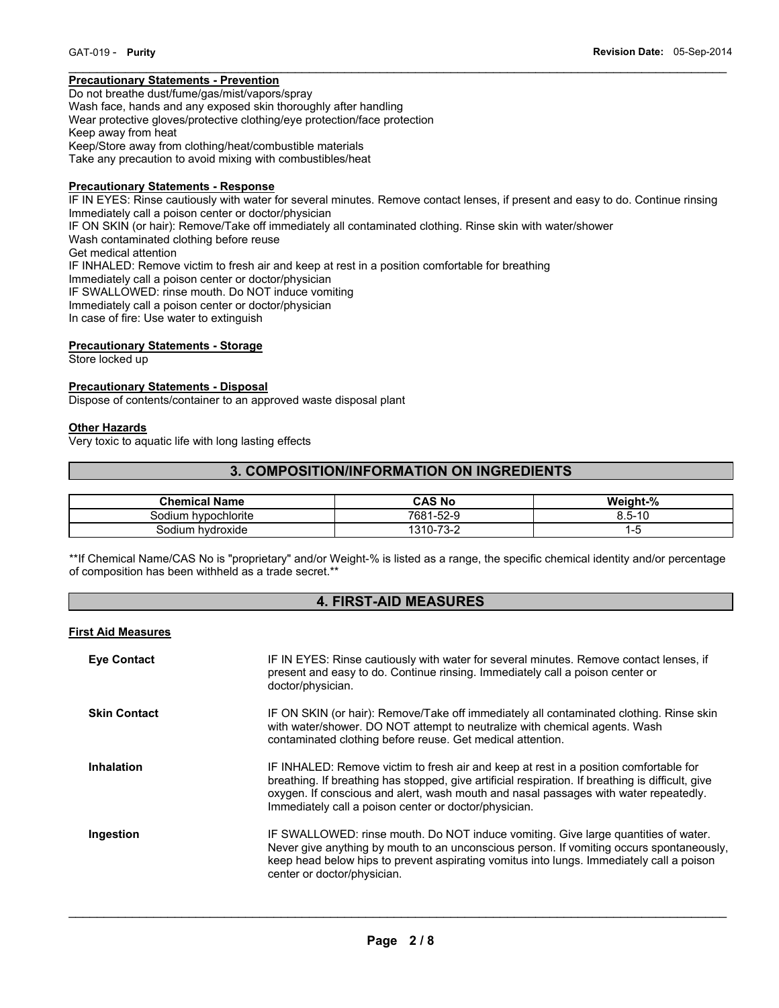# **Precautionary Statements - Prevention**

Do not breathe dust/fume/gas/mist/vapors/spray Wash face, hands and any exposed skin thoroughly after handling Wear protective gloves/protective clothing/eye protection/face protection Keep away from heat Keep/Store away from clothing/heat/combustible materials Take any precaution to avoid mixing with combustibles/heat

#### **Precautionary Statements - Response**

IF IN EYES: Rinse cautiously with water for several minutes. Remove contact lenses, if present and easy to do. Continue rinsing Immediately call a poison center or doctor/physician IF ON SKIN (or hair): Remove/Take off immediately all contaminated clothing. Rinse skin with water/shower Wash contaminated clothing before reuse Get medical attention IF INHALED: Remove victim to fresh air and keep at rest in a position comfortable for breathing Immediately call a poison center or doctor/physician IF SWALLOWED: rinse mouth. Do NOT induce vomiting Immediately call a poison center or doctor/physician In case of fire: Use water to extinguish

 $\mathcal{L}_\mathcal{L} = \{ \mathcal{L}_\mathcal{L} = \{ \mathcal{L}_\mathcal{L} = \{ \mathcal{L}_\mathcal{L} = \{ \mathcal{L}_\mathcal{L} = \{ \mathcal{L}_\mathcal{L} = \{ \mathcal{L}_\mathcal{L} = \{ \mathcal{L}_\mathcal{L} = \{ \mathcal{L}_\mathcal{L} = \{ \mathcal{L}_\mathcal{L} = \{ \mathcal{L}_\mathcal{L} = \{ \mathcal{L}_\mathcal{L} = \{ \mathcal{L}_\mathcal{L} = \{ \mathcal{L}_\mathcal{L} = \{ \mathcal{L}_\mathcal{$ 

#### **Precautionary Statements - Storage**

Store locked up

#### **Precautionary Statements - Disposal**

Dispose of contents/container to an approved waste disposal plant

#### **Other Hazards**

Very toxic to aquatic life with long lasting effects

# **3. COMPOSITION/INFORMATION ON INGREDIENTS**

| <b>Chemical Name</b>     | <b>CAS No</b>                | Weight-% |
|--------------------------|------------------------------|----------|
| i hvpochlorite<br>30dium | 7681-<br>1-52-9              | 8.5-10   |
| hvdroxide<br>Sodium      | 70 O<br>$1310 - 7.$<br>ے-כ ≀ |          |

\*\*If Chemical Name/CAS No is "proprietary" and/or Weight-% is listed as a range, the specific chemical identity and/or percentage of composition has been withheld as a trade secret.\*\*

# **4. FIRST-AID MEASURES**

#### **First Aid Measures**

| <b>Eye Contact</b>  | IF IN EYES: Rinse cautiously with water for several minutes. Remove contact lenses, if<br>present and easy to do. Continue rinsing. Immediately call a poison center or<br>doctor/physician.                                                                                                                                                |
|---------------------|---------------------------------------------------------------------------------------------------------------------------------------------------------------------------------------------------------------------------------------------------------------------------------------------------------------------------------------------|
| <b>Skin Contact</b> | IF ON SKIN (or hair): Remove/Take off immediately all contaminated clothing. Rinse skin<br>with water/shower. DO NOT attempt to neutralize with chemical agents. Wash<br>contaminated clothing before reuse. Get medical attention.                                                                                                         |
| <b>Inhalation</b>   | IF INHALED: Remove victim to fresh air and keep at rest in a position comfortable for<br>breathing. If breathing has stopped, give artificial respiration. If breathing is difficult, give<br>oxygen. If conscious and alert, wash mouth and nasal passages with water repeatedly.<br>Immediately call a poison center or doctor/physician. |
| Ingestion           | IF SWALLOWED: rinse mouth. Do NOT induce vomiting. Give large quantities of water.<br>Never give anything by mouth to an unconscious person. If vomiting occurs spontaneously,<br>keep head below hips to prevent aspirating vomitus into lungs. Immediately call a poison<br>center or doctor/physician.                                   |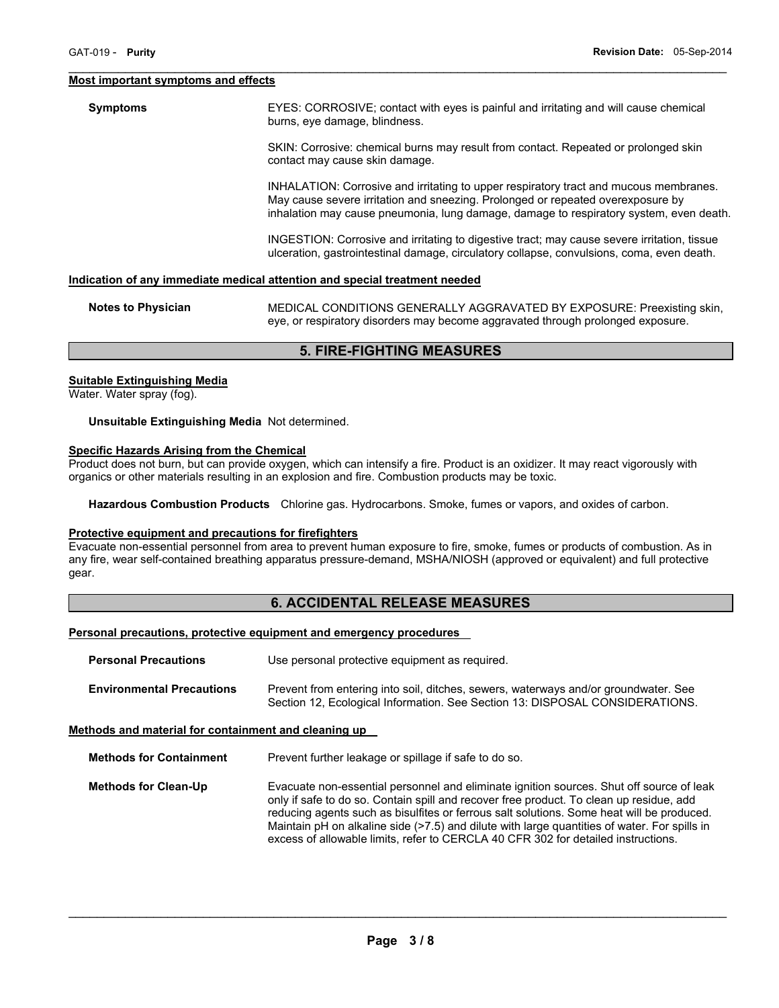#### **Most important symptoms and effects**

**Symptoms** EYES: CORROSIVE; contact with eyes is painful and irritating and will cause chemical burns, eye damage, blindness.

> SKIN: Corrosive: chemical burns may result from contact. Repeated or prolonged skin contact may cause skin damage.

INHALATION: Corrosive and irritating to upper respiratory tract and mucous membranes. May cause severe irritation and sneezing. Prolonged or repeated overexposure by inhalation may cause pneumonia, lung damage, damage to respiratory system, even death.

INGESTION: Corrosive and irritating to digestive tract; may cause severe irritation, tissue ulceration, gastrointestinal damage, circulatory collapse, convulsions, coma, even death.

#### **Indication of any immediate medical attention and special treatment needed**

| Notes to Physician | MEDICAL CONDITIONS GENERALLY AGGRAVATED BY EXPOSURE: Preexisting skin,          |
|--------------------|---------------------------------------------------------------------------------|
|                    | eye, or respiratory disorders may become aggravated through prolonged exposure. |

 $\mathcal{L}_\mathcal{L} = \{ \mathcal{L}_\mathcal{L} = \{ \mathcal{L}_\mathcal{L} = \{ \mathcal{L}_\mathcal{L} = \{ \mathcal{L}_\mathcal{L} = \{ \mathcal{L}_\mathcal{L} = \{ \mathcal{L}_\mathcal{L} = \{ \mathcal{L}_\mathcal{L} = \{ \mathcal{L}_\mathcal{L} = \{ \mathcal{L}_\mathcal{L} = \{ \mathcal{L}_\mathcal{L} = \{ \mathcal{L}_\mathcal{L} = \{ \mathcal{L}_\mathcal{L} = \{ \mathcal{L}_\mathcal{L} = \{ \mathcal{L}_\mathcal{$ 

# **5. FIRE-FIGHTING MEASURES**

#### **Suitable Extinguishing Media**

Water. Water spray (fog).

**Unsuitable Extinguishing Media** Not determined.

#### **Specific Hazards Arising from the Chemical**

Product does not burn, but can provide oxygen, which can intensify a fire. Product is an oxidizer. It may react vigorously with organics or other materials resulting in an explosion and fire. Combustion products may be toxic.

**Hazardous Combustion Products** Chlorine gas. Hydrocarbons. Smoke, fumes or vapors, and oxides of carbon.

#### **Protective equipment and precautions for firefighters**

Evacuate non-essential personnel from area to prevent human exposure to fire, smoke, fumes or products of combustion. As in any fire, wear self-contained breathing apparatus pressure-demand, MSHA/NIOSH (approved or equivalent) and full protective gear.

# **6. ACCIDENTAL RELEASE MEASURES**

#### **Personal precautions, protective equipment and emergency procedures**

| <b>Personal Precautions</b>      | Use personal protective equipment as required.                                                                                                                      |
|----------------------------------|---------------------------------------------------------------------------------------------------------------------------------------------------------------------|
| <b>Environmental Precautions</b> | Prevent from entering into soil, ditches, sewers, waterways and/or groundwater. See<br>Section 12, Ecological Information. See Section 13: DISPOSAL CONSIDERATIONS. |

#### **Methods and material for containment and cleaning up**

**Methods for Containment** Prevent further leakage or spillage if safe to do so.

**Methods for Clean-Up** Evacuate non-essential personnel and eliminate ignition sources. Shut off source of leak only if safe to do so. Contain spill and recover free product. To clean up residue, add reducing agents such as bisulfites or ferrous salt solutions. Some heat will be produced. Maintain pH on alkaline side (>7.5) and dilute with large quantities of water. For spills in excess of allowable limits, refer to CERCLA 40 CFR 302 for detailed instructions.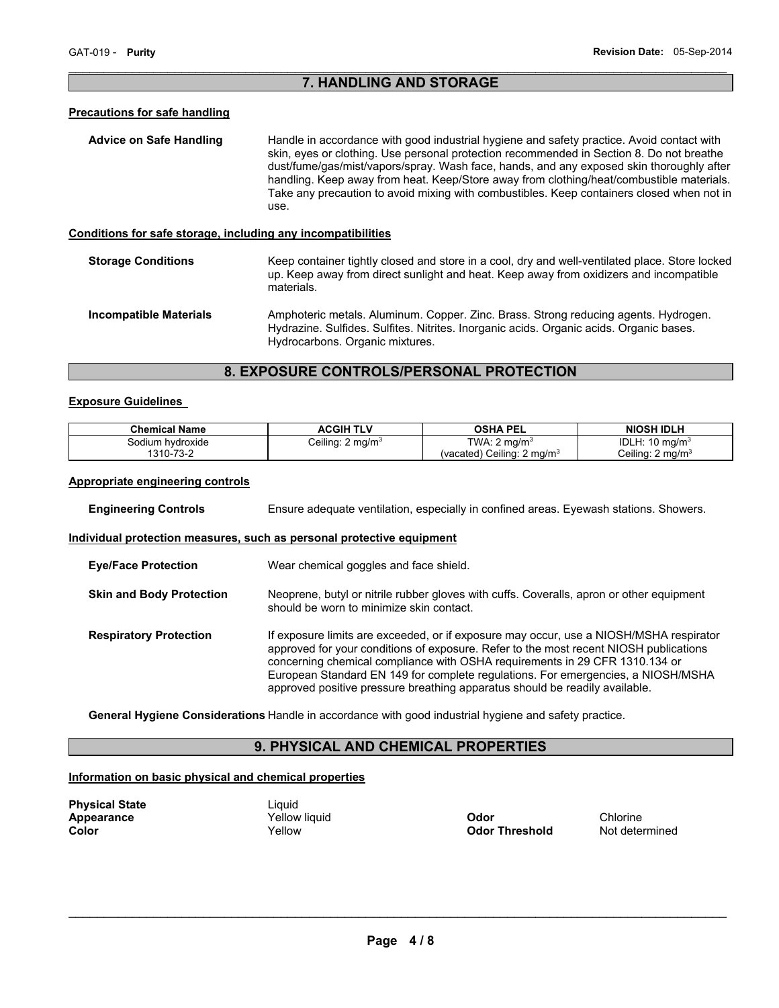# $\mathcal{L}_\mathcal{L} = \{ \mathcal{L}_\mathcal{L} = \{ \mathcal{L}_\mathcal{L} = \{ \mathcal{L}_\mathcal{L} = \{ \mathcal{L}_\mathcal{L} = \{ \mathcal{L}_\mathcal{L} = \{ \mathcal{L}_\mathcal{L} = \{ \mathcal{L}_\mathcal{L} = \{ \mathcal{L}_\mathcal{L} = \{ \mathcal{L}_\mathcal{L} = \{ \mathcal{L}_\mathcal{L} = \{ \mathcal{L}_\mathcal{L} = \{ \mathcal{L}_\mathcal{L} = \{ \mathcal{L}_\mathcal{L} = \{ \mathcal{L}_\mathcal{$ **7. HANDLING AND STORAGE**

# **Precautions for safe handling**

| <b>Advice on Safe Handling</b>                               | Handle in accordance with good industrial hygiene and safety practice. Avoid contact with<br>skin, eyes or clothing. Use personal protection recommended in Section 8. Do not breathe<br>dust/fume/gas/mist/vapors/spray. Wash face, hands, and any exposed skin thoroughly after<br>handling. Keep away from heat. Keep/Store away from clothing/heat/combustible materials.<br>Take any precaution to avoid mixing with combustibles. Keep containers closed when not in<br>use. |
|--------------------------------------------------------------|------------------------------------------------------------------------------------------------------------------------------------------------------------------------------------------------------------------------------------------------------------------------------------------------------------------------------------------------------------------------------------------------------------------------------------------------------------------------------------|
| Conditions for safe storage, including any incompatibilities |                                                                                                                                                                                                                                                                                                                                                                                                                                                                                    |
| <b>Storage Conditions</b>                                    | Keep container tightly closed and store in a cool, dry and well-ventilated place. Store locked<br>up. Keep away from direct sunlight and heat. Keep away from oxidizers and incompatible<br>materials.                                                                                                                                                                                                                                                                             |

**Incompatible Materials** Amphoteric metals. Aluminum. Copper. Zinc. Brass. Strong reducing agents. Hydrogen. Hydrazine. Sulfides. Sulfites. Nitrites. Inorganic acids. Organic acids. Organic bases. Hydrocarbons. Organic mixtures.

# **8. EXPOSURE CONTROLS/PERSONAL PROTECTION**

### **Exposure Guidelines**

| <b>Chemical Name</b> | ACGIH TLV                   | <b>OSHA PEL</b>                        | <b>NIOSH IDLH</b>           |
|----------------------|-----------------------------|----------------------------------------|-----------------------------|
| Sodium hvdroxide     | Ceiling: $2 \text{ mg/m}^3$ | TWA: $2 \text{ mg/m}^3$                | IDLH: $10 \text{ mg/m}^3$   |
| 1310-73-2            |                             | (vacated) Ceiling: 2 mg/m <sup>3</sup> | Ceiling: $2 \text{ mg/m}^3$ |

# **Appropriate engineering controls**

| <b>Engineering Controls</b>     | Ensure adequate ventilation, especially in confined areas. Eyewash stations. Showers.                                                                                                                                                                                                                                                                                                                                             |  |
|---------------------------------|-----------------------------------------------------------------------------------------------------------------------------------------------------------------------------------------------------------------------------------------------------------------------------------------------------------------------------------------------------------------------------------------------------------------------------------|--|
|                                 | Individual protection measures, such as personal protective equipment                                                                                                                                                                                                                                                                                                                                                             |  |
| <b>Eve/Face Protection</b>      | Wear chemical goggles and face shield.                                                                                                                                                                                                                                                                                                                                                                                            |  |
| <b>Skin and Body Protection</b> | Neoprene, butyl or nitrile rubber gloves with cuffs. Coveralls, apron or other equipment<br>should be worn to minimize skin contact.                                                                                                                                                                                                                                                                                              |  |
| <b>Respiratory Protection</b>   | If exposure limits are exceeded, or if exposure may occur, use a NIOSH/MSHA respirator<br>approved for your conditions of exposure. Refer to the most recent NIOSH publications<br>concerning chemical compliance with OSHA requirements in 29 CFR 1310.134 or<br>European Standard EN 149 for complete regulations. For emergencies, a NIOSH/MSHA<br>approved positive pressure breathing apparatus should be readily available. |  |

**General Hygiene Considerations** Handle in accordance with good industrial hygiene and safety practice.

# **9. PHYSICAL AND CHEMICAL PROPERTIES**

# **Information on basic physical and chemical properties**

| <b>Physical State</b> |  |
|-----------------------|--|
| Appearance            |  |
| Color                 |  |

Liquid

**Apple Vellow liquid**<br> **Apple 2018 The Vellow Codor Threshold**<br> **Apple 2018 Threshold** Mot determined **Odor Threshold**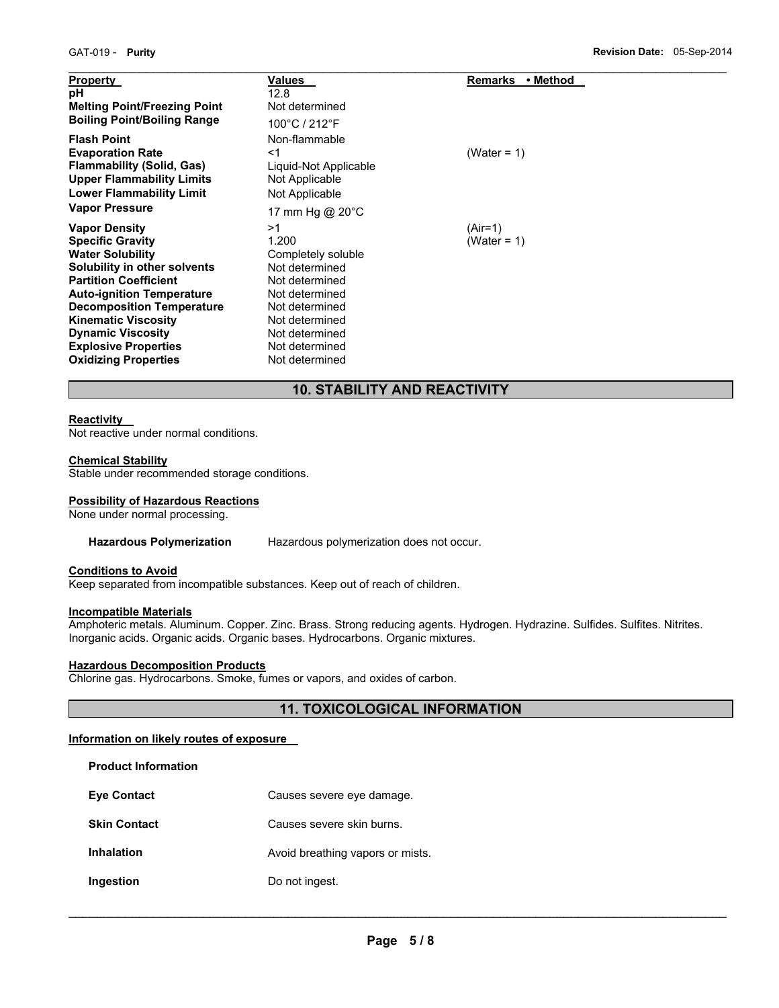| <b>Property</b><br>рH<br><b>Melting Point/Freezing Point</b><br><b>Boiling Point/Boiling Range</b>                                                                                                                                                                                                                                         | Values<br>12.8<br>Not determined<br>100°C / 212°F                                                                                                                                 | • Method<br><b>Remarks</b>  |
|--------------------------------------------------------------------------------------------------------------------------------------------------------------------------------------------------------------------------------------------------------------------------------------------------------------------------------------------|-----------------------------------------------------------------------------------------------------------------------------------------------------------------------------------|-----------------------------|
| <b>Flash Point</b><br><b>Evaporation Rate</b><br><b>Flammability (Solid, Gas)</b><br><b>Upper Flammability Limits</b><br><b>Lower Flammability Limit</b><br><b>Vapor Pressure</b>                                                                                                                                                          | Non-flammable<br>$<$ 1<br>Liquid-Not Applicable<br>Not Applicable<br>Not Applicable<br>17 mm Hg @ 20°C                                                                            | (Water = $1$ )              |
| <b>Vapor Density</b><br><b>Specific Gravity</b><br><b>Water Solubility</b><br>Solubility in other solvents<br><b>Partition Coefficient</b><br><b>Auto-ignition Temperature</b><br><b>Decomposition Temperature</b><br><b>Kinematic Viscosity</b><br><b>Dynamic Viscosity</b><br><b>Explosive Properties</b><br><b>Oxidizing Properties</b> | >1<br>1.200<br>Completely soluble<br>Not determined<br>Not determined<br>Not determined<br>Not determined<br>Not determined<br>Not determined<br>Not determined<br>Not determined | $(Air=1)$<br>(Water = $1$ ) |

# **10. STABILITY AND REACTIVITY**

# **Reactivity**

Not reactive under normal conditions.

# **Chemical Stability**

Stable under recommended storage conditions.

# **Possibility of Hazardous Reactions**

None under normal processing.

#### **Hazardous Polymerization** Hazardous polymerization does not occur.

#### **Conditions to Avoid**

Keep separated from incompatible substances. Keep out of reach of children.

# **Incompatible Materials**

**Product Information** 

Amphoteric metals. Aluminum. Copper. Zinc. Brass. Strong reducing agents. Hydrogen. Hydrazine. Sulfides. Sulfites. Nitrites. Inorganic acids. Organic acids. Organic bases. Hydrocarbons. Organic mixtures.

### **Hazardous Decomposition Products**

Chlorine gas. Hydrocarbons. Smoke, fumes or vapors, and oxides of carbon.

# **11. TOXICOLOGICAL INFORMATION**

# **Information on likely routes of exposure**

| Causes severe eye damage.        |
|----------------------------------|
| Causes severe skin burns.        |
| Avoid breathing vapors or mists. |
| Do not ingest.                   |
|                                  |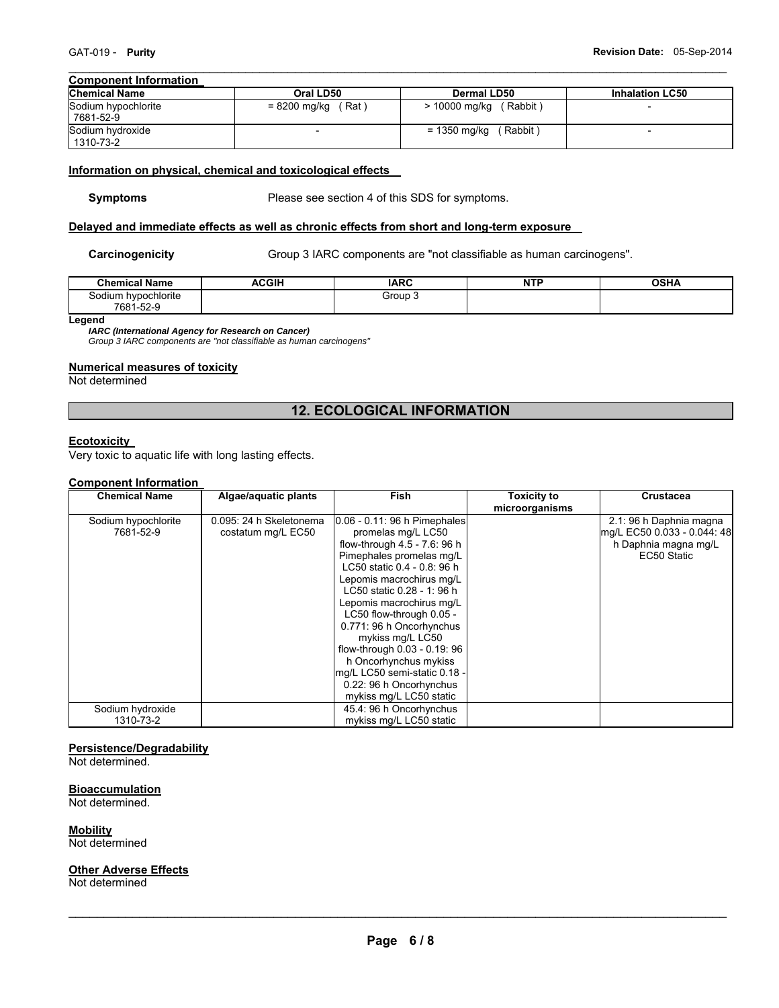#### $\mathcal{L}_\mathcal{L} = \{ \mathcal{L}_\mathcal{L} = \{ \mathcal{L}_\mathcal{L} = \{ \mathcal{L}_\mathcal{L} = \{ \mathcal{L}_\mathcal{L} = \{ \mathcal{L}_\mathcal{L} = \{ \mathcal{L}_\mathcal{L} = \{ \mathcal{L}_\mathcal{L} = \{ \mathcal{L}_\mathcal{L} = \{ \mathcal{L}_\mathcal{L} = \{ \mathcal{L}_\mathcal{L} = \{ \mathcal{L}_\mathcal{L} = \{ \mathcal{L}_\mathcal{L} = \{ \mathcal{L}_\mathcal{L} = \{ \mathcal{L}_\mathcal{$ **Component Information**

| <b>Chemical Name</b>             | Oral LD50            | Dermal LD50              | <b>Inhalation LC50</b> |
|----------------------------------|----------------------|--------------------------|------------------------|
| Sodium hypochlorite<br>7681-52-9 | $= 8200$ mg/kg (Rat) | $> 10000$ mg/kg (Rabbit) |                        |
| Sodium hydroxide<br>1310-73-2    |                      | (Rabbit)<br>= 1350 mg/kg |                        |

#### **Information on physical, chemical and toxicological effects**

**Symptoms** Please see section 4 of this SDS for symptoms.

#### **Delayed and immediate effects as well as chronic effects from short and long-term exposure**

**Carcinogenicity Group 3 IARC components are "not classifiable as human carcinogens".** 

| <b>Chemical Name</b> | <b>ACGIH</b> | <b>IARC</b> | <b>NTP</b><br>. | <b>OSHA</b> |
|----------------------|--------------|-------------|-----------------|-------------|
| Sodium hypochlorite  |              | Group       |                 |             |
| 7681-52-9            |              |             |                 |             |

**Legend** 

*IARC (International Agency for Research on Cancer)* 

*Group 3 IARC components are "not classifiable as human carcinogens"* 

# **Numerical measures of toxicity**

Not determined

# **12. ECOLOGICAL INFORMATION**

# **Ecotoxicity**

Very toxic to aquatic life with long lasting effects.

# **Component Information**

| <b>Chemical Name</b> | Algae/aquatic plants    | Fish                         | <b>Toxicity to</b> | <b>Crustacea</b>            |
|----------------------|-------------------------|------------------------------|--------------------|-----------------------------|
|                      |                         |                              | microorganisms     |                             |
| Sodium hypochlorite  | 0.095: 24 h Skeletonema | 0.06 - 0.11: 96 h Pimephales |                    | 2.1: 96 h Daphnia magna     |
| 7681-52-9            | costatum mg/L EC50      | promelas mg/L LC50           |                    | mg/L EC50 0.033 - 0.044: 48 |
|                      |                         | flow-through 4.5 - 7.6: 96 h |                    | h Daphnia magna mg/L        |
|                      |                         | Pimephales promelas mg/L     |                    | EC50 Static                 |
|                      |                         | LC50 static 0.4 - 0.8: 96 h  |                    |                             |
|                      |                         | Lepomis macrochirus mg/L     |                    |                             |
|                      |                         | LC50 static 0.28 - 1: 96 h   |                    |                             |
|                      |                         | Lepomis macrochirus mg/L     |                    |                             |
|                      |                         | LC50 flow-through 0.05 -     |                    |                             |
|                      |                         | 0.771: 96 h Oncorhynchus     |                    |                             |
|                      |                         | mykiss mg/L LC50             |                    |                             |
|                      |                         | flow-through 0.03 - 0.19: 96 |                    |                             |
|                      |                         | h Oncorhynchus mykiss        |                    |                             |
|                      |                         | mg/L LC50 semi-static 0.18 - |                    |                             |
|                      |                         | 0.22: 96 h Oncorhynchus      |                    |                             |
|                      |                         | mykiss mg/L LC50 static      |                    |                             |
| Sodium hydroxide     |                         | 45.4: 96 h Oncorhynchus      |                    |                             |
| 1310-73-2            |                         | mykiss mg/L LC50 static      |                    |                             |

# **Persistence/Degradability**

Not determined.

#### **Bioaccumulation**

Not determined.

**Mobility** 

Not determined

# **Other Adverse Effects**

Not determined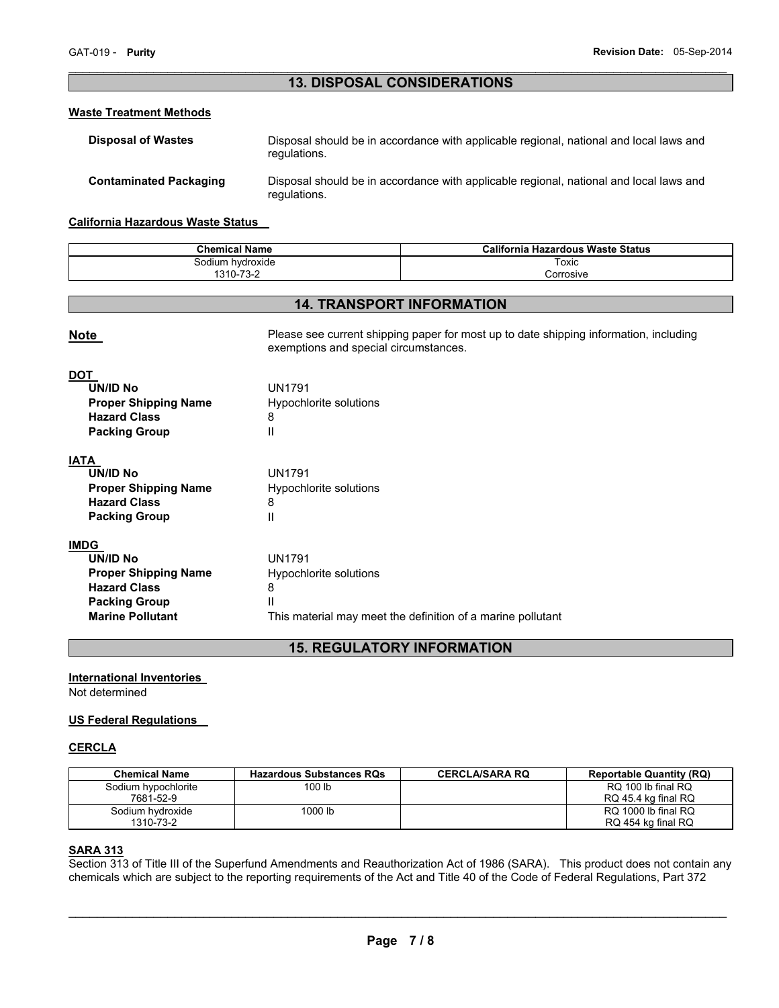# $\mathcal{L}_\mathcal{L} = \{ \mathcal{L}_\mathcal{L} = \{ \mathcal{L}_\mathcal{L} = \{ \mathcal{L}_\mathcal{L} = \{ \mathcal{L}_\mathcal{L} = \{ \mathcal{L}_\mathcal{L} = \{ \mathcal{L}_\mathcal{L} = \{ \mathcal{L}_\mathcal{L} = \{ \mathcal{L}_\mathcal{L} = \{ \mathcal{L}_\mathcal{L} = \{ \mathcal{L}_\mathcal{L} = \{ \mathcal{L}_\mathcal{L} = \{ \mathcal{L}_\mathcal{L} = \{ \mathcal{L}_\mathcal{L} = \{ \mathcal{L}_\mathcal{$ **13. DISPOSAL CONSIDERATIONS**

# **Waste Treatment Methods**

| <b>Disposal of Wastes</b>     | Disposal should be in accordance with applicable regional, national and local laws and<br>regulations. |
|-------------------------------|--------------------------------------------------------------------------------------------------------|
| <b>Contaminated Packaging</b> | Disposal should be in accordance with applicable regional, national and local laws and<br>regulations. |

#### **California Hazardous Waste Status**

| <b>Chemical Name</b>                          | California<br><b>Hazardous Waste Status</b> |
|-----------------------------------------------|---------------------------------------------|
| Sodium hvdroxide                              | Toxic                                       |
| $\overline{\phantom{a}}$<br>1210<br>.<br>. ാ∹ | Corrosive                                   |

# **14. TRANSPORT INFORMATION**

| <b>Note</b>                                                                  | Please see current shipping paper for most up to date shipping information, including<br>exemptions and special circumstances. |
|------------------------------------------------------------------------------|--------------------------------------------------------------------------------------------------------------------------------|
| <b>DOT</b><br>UN/ID No<br><b>Proper Shipping Name</b><br><b>Hazard Class</b> | <b>UN1791</b><br>Hypochlorite solutions<br>8                                                                                   |
| <b>Packing Group</b>                                                         | Ш                                                                                                                              |
| <b>IATA</b>                                                                  |                                                                                                                                |
| UN/ID No                                                                     | <b>UN1791</b>                                                                                                                  |
| <b>Proper Shipping Name</b>                                                  | Hypochlorite solutions                                                                                                         |
| <b>Hazard Class</b>                                                          | 8                                                                                                                              |
| <b>Packing Group</b>                                                         | Ш                                                                                                                              |
| <b>IMDG</b>                                                                  |                                                                                                                                |
| UN/ID No                                                                     | <b>UN1791</b>                                                                                                                  |
| <b>Proper Shipping Name</b>                                                  | Hypochlorite solutions                                                                                                         |
| <b>Hazard Class</b>                                                          | 8                                                                                                                              |
| <b>Packing Group</b>                                                         | Ш                                                                                                                              |
| <b>Marine Pollutant</b>                                                      | This material may meet the definition of a marine pollutant                                                                    |

# **15. REGULATORY INFORMATION**

### **International Inventories**

Not determined

### **US Federal Regulations**

### **CERCLA**

| <b>Chemical Name</b> | <b>Hazardous Substances RQs</b> | <b>CERCLA/SARA RO</b> | <b>Reportable Quantity (RQ)</b> |
|----------------------|---------------------------------|-----------------------|---------------------------------|
| Sodium hypochlorite  | 100 lb                          |                       | RQ 100 lb final RQ              |
| 7681-52-9            |                                 |                       | RQ 45.4 kg final RQ             |
| Sodium hydroxide     | 1000 lb                         |                       | RQ 1000 lb final RQ             |
| 1310-73-2            |                                 |                       | RQ 454 kg final RQ              |

# **SARA 313**

Section 313 of Title III of the Superfund Amendments and Reauthorization Act of 1986 (SARA). This product does not contain any chemicals which are subject to the reporting requirements of the Act and Title 40 of the Code of Federal Regulations, Part 372